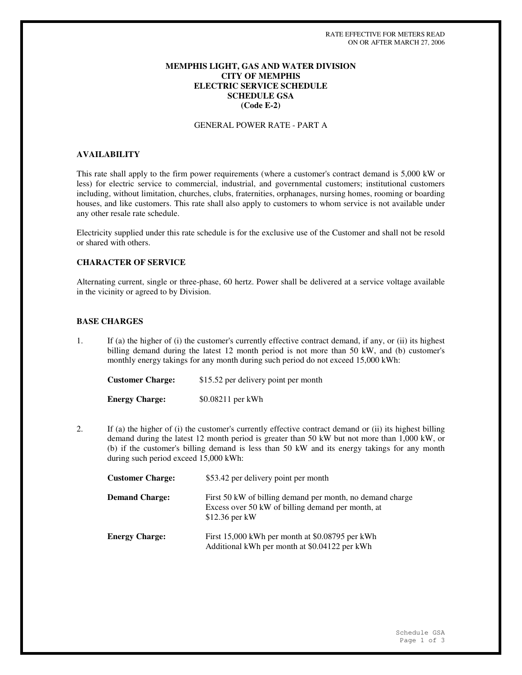## **MEMPHIS LIGHT, GAS AND WATER DIVISION CITY OF MEMPHIS ELECTRIC SERVICE SCHEDULE SCHEDULE GSA (Code E-2)**

## GENERAL POWER RATE - PART A

# **AVAILABILITY**

This rate shall apply to the firm power requirements (where a customer's contract demand is 5,000 kW or less) for electric service to commercial, industrial, and governmental customers; institutional customers including, without limitation, churches, clubs, fraternities, orphanages, nursing homes, rooming or boarding houses, and like customers. This rate shall also apply to customers to whom service is not available under any other resale rate schedule.

Electricity supplied under this rate schedule is for the exclusive use of the Customer and shall not be resold or shared with others.

# **CHARACTER OF SERVICE**

Alternating current, single or three-phase, 60 hertz. Power shall be delivered at a service voltage available in the vicinity or agreed to by Division.

## **BASE CHARGES**

1. If (a) the higher of (i) the customer's currently effective contract demand, if any, or (ii) its highest billing demand during the latest 12 month period is not more than 50 kW, and (b) customer's monthly energy takings for any month during such period do not exceed 15,000 kWh:

| <b>Customer Charge:</b> | \$15.52 per delivery point per month |
|-------------------------|--------------------------------------|
| <b>Energy Charge:</b>   | \$0.08211 per kWh                    |

2. If (a) the higher of (i) the customer's currently effective contract demand or (ii) its highest billing demand during the latest 12 month period is greater than 50 kW but not more than 1,000 kW, or (b) if the customer's billing demand is less than 50 kW and its energy takings for any month during such period exceed 15,000 kWh:

| <b>Customer Charge:</b> | \$53.42 per delivery point per month                                                                                              |
|-------------------------|-----------------------------------------------------------------------------------------------------------------------------------|
| <b>Demand Charge:</b>   | First 50 kW of billing demand per month, no demand charge<br>Excess over 50 kW of billing demand per month, at<br>$$12.36$ per kW |
| <b>Energy Charge:</b>   | First 15,000 kWh per month at \$0.08795 per kWh<br>Additional kWh per month at \$0.04122 per kWh                                  |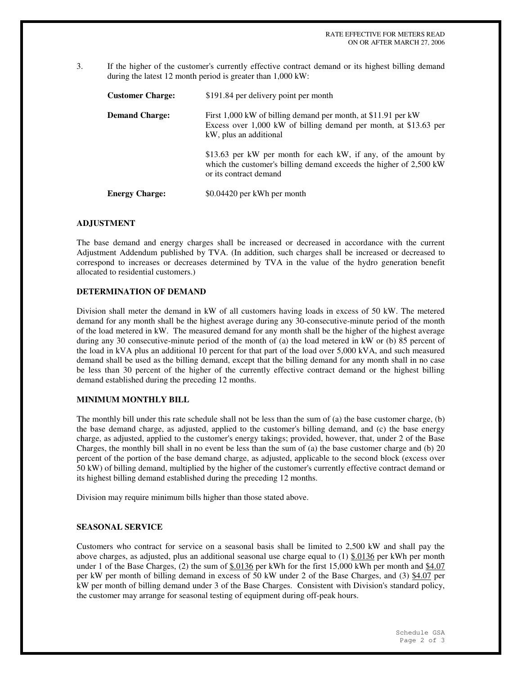3. If the higher of the customer's currently effective contract demand or its highest billing demand during the latest 12 month period is greater than 1,000 kW:

| <b>Customer Charge:</b> | \$191.84 per delivery point per month                                                                                                                          |
|-------------------------|----------------------------------------------------------------------------------------------------------------------------------------------------------------|
| <b>Demand Charge:</b>   | First 1,000 kW of billing demand per month, at \$11.91 per kW<br>Excess over 1,000 kW of billing demand per month, at \$13.63 per<br>kW, plus an additional    |
|                         | \$13.63 per kW per month for each kW, if any, of the amount by<br>which the customer's billing demand exceeds the higher of 2,500 kW<br>or its contract demand |
| <b>Energy Charge:</b>   | \$0.04420 per kWh per month                                                                                                                                    |

#### **ADJUSTMENT**

The base demand and energy charges shall be increased or decreased in accordance with the current Adjustment Addendum published by TVA. (In addition, such charges shall be increased or decreased to correspond to increases or decreases determined by TVA in the value of the hydro generation benefit allocated to residential customers.)

#### **DETERMINATION OF DEMAND**

Division shall meter the demand in kW of all customers having loads in excess of 50 kW. The metered demand for any month shall be the highest average during any 30-consecutive-minute period of the month of the load metered in kW. The measured demand for any month shall be the higher of the highest average during any 30 consecutive-minute period of the month of (a) the load metered in kW or (b) 85 percent of the load in kVA plus an additional 10 percent for that part of the load over 5,000 kVA, and such measured demand shall be used as the billing demand, except that the billing demand for any month shall in no case be less than 30 percent of the higher of the currently effective contract demand or the highest billing demand established during the preceding 12 months.

#### **MINIMUM MONTHLY BILL**

The monthly bill under this rate schedule shall not be less than the sum of (a) the base customer charge, (b) the base demand charge, as adjusted, applied to the customer's billing demand, and (c) the base energy charge, as adjusted, applied to the customer's energy takings; provided, however, that, under 2 of the Base Charges, the monthly bill shall in no event be less than the sum of (a) the base customer charge and (b) 20 percent of the portion of the base demand charge, as adjusted, applicable to the second block (excess over 50 kW) of billing demand, multiplied by the higher of the customer's currently effective contract demand or its highest billing demand established during the preceding 12 months.

Division may require minimum bills higher than those stated above.

## **SEASONAL SERVICE**

Customers who contract for service on a seasonal basis shall be limited to 2,500 kW and shall pay the above charges, as adjusted, plus an additional seasonal use charge equal to  $(1)$  \$.0136 per kWh per month under 1 of the Base Charges, (2) the sum of  $$.0136$  per kWh for the first 15,000 kWh per month and  $$4.07$ per kW per month of billing demand in excess of 50 kW under 2 of the Base Charges, and (3) \$4.07 per kW per month of billing demand under 3 of the Base Charges. Consistent with Division's standard policy, the customer may arrange for seasonal testing of equipment during off-peak hours.